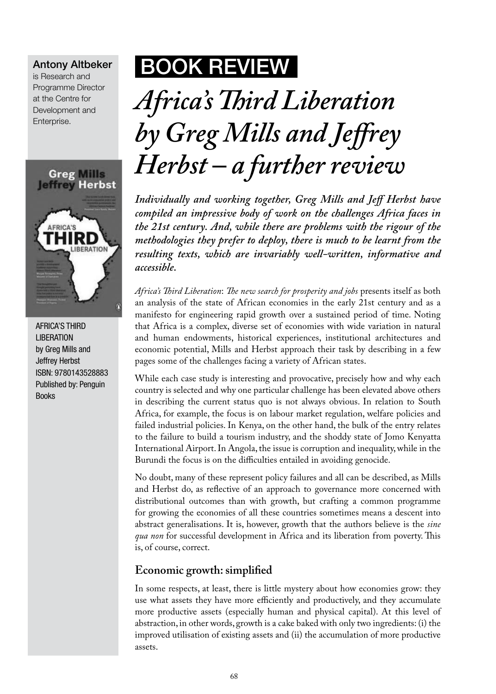#### Antony Altbeker

is Research and Programme Director at the Centre for Development and Enterprise.



**AFRICA'S THIRD LIBERATION** by Greg Mills and Jeffrey Herbst ISBN: 9780143528883 Published by: Penguin Books

## BOOK Review

# *Africa's Third Liberation by Greg Mills and Jeffrey Herbst – a further review*

*Individually and working together, Greg Mills and Jeff Herbst have compiled an impressive body of work on the challenges Africa faces in the 21st century. And, while there are problems with the rigour of the methodologies they prefer to deploy, there is much to be learnt from the resulting texts, which are invariably well-written, informative and accessible.* 

*Africa's Third Liberation*: *The new search for prosperity and jobs* presents itself as both an analysis of the state of African economies in the early 21st century and as a manifesto for engineering rapid growth over a sustained period of time. Noting that Africa is a complex, diverse set of economies with wide variation in natural and human endowments, historical experiences, institutional architectures and economic potential, Mills and Herbst approach their task by describing in a few pages some of the challenges facing a variety of African states.

While each case study is interesting and provocative, precisely how and why each country is selected and why one particular challenge has been elevated above others in describing the current status quo is not always obvious. In relation to South Africa, for example, the focus is on labour market regulation, welfare policies and failed industrial policies. In Kenya, on the other hand, the bulk of the entry relates to the failure to build a tourism industry, and the shoddy state of Jomo Kenyatta International Airport. In Angola, the issue is corruption and inequality, while in the Burundi the focus is on the difficulties entailed in avoiding genocide.

No doubt, many of these represent policy failures and all can be described, as Mills and Herbst do, as reflective of an approach to governance more concerned with distributional outcomes than with growth, but crafting a common programme for growing the economies of all these countries sometimes means a descent into abstract generalisations. It is, however, growth that the authors believe is the *sine qua non* for successful development in Africa and its liberation from poverty. This is, of course, correct.

### **Economic growth: simplified**

In some respects, at least, there is little mystery about how economies grow: they use what assets they have more efficiently and productively, and they accumulate more productive assets (especially human and physical capital). At this level of abstraction, in other words, growth is a cake baked with only two ingredients: (i) the improved utilisation of existing assets and (ii) the accumulation of more productive assets.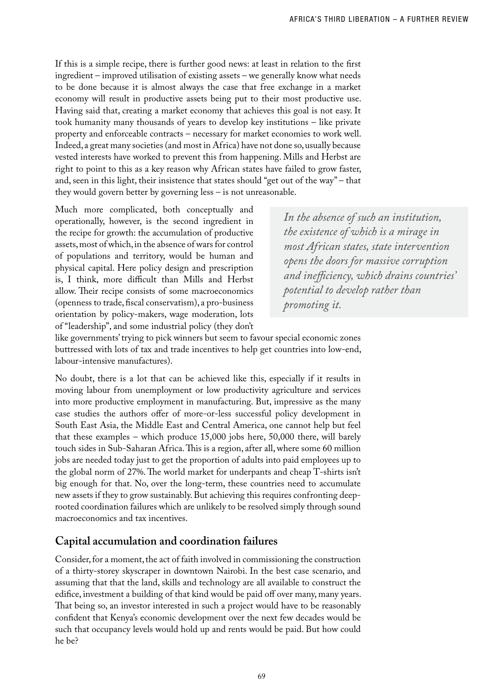If this is a simple recipe, there is further good news: at least in relation to the first ingredient – improved utilisation of existing assets – we generally know what needs to be done because it is almost always the case that free exchange in a market economy will result in productive assets being put to their most productive use. Having said that, creating a market economy that achieves this goal is not easy. It took humanity many thousands of years to develop key institutions – like private property and enforceable contracts – necessary for market economies to work well. Indeed, a great many societies (and most in Africa) have not done so, usually because vested interests have worked to prevent this from happening. Mills and Herbst are right to point to this as a key reason why African states have failed to grow faster, and, seen in this light, their insistence that states should "get out of the way" – that they would govern better by governing less – is not unreasonable.

Much more complicated, both conceptually and operationally, however, is the second ingredient in the recipe for growth: the accumulation of productive assets, most of which, in the absence of wars for control of populations and territory, would be human and physical capital. Here policy design and prescription is, I think, more difficult than Mills and Herbst allow. Their recipe consists of some macroeconomics (openness to trade, fiscal conservatism), a pro-business orientation by policy-makers, wage moderation, lots of "leadership", and some industrial policy (they don't

*In the absence of such an institution, the existence of which is a mirage in most African states, state intervention opens the doors for massive corruption and inefficiency, which drains countries' potential to develop rather than promoting it.*

like governments' trying to pick winners but seem to favour special economic zones buttressed with lots of tax and trade incentives to help get countries into low-end, labour-intensive manufactures).

No doubt, there is a lot that can be achieved like this, especially if it results in moving labour from unemployment or low productivity agriculture and services into more productive employment in manufacturing. But, impressive as the many case studies the authors offer of more-or-less successful policy development in South East Asia, the Middle East and Central America, one cannot help but feel that these examples – which produce 15,000 jobs here, 50,000 there, will barely touch sides in Sub-Saharan Africa. This is a region, after all, where some 60 million jobs are needed today just to get the proportion of adults into paid employees up to the global norm of 27%. The world market for underpants and cheap T-shirts isn't big enough for that. No, over the long-term, these countries need to accumulate new assets if they to grow sustainably. But achieving this requires confronting deeprooted coordination failures which are unlikely to be resolved simply through sound macroeconomics and tax incentives.

### **Capital accumulation and coordination failures**

Consider, for a moment, the act of faith involved in commissioning the construction of a thirty-storey skyscraper in downtown Nairobi. In the best case scenario, and assuming that that the land, skills and technology are all available to construct the edifice, investment a building of that kind would be paid off over many, many years. That being so, an investor interested in such a project would have to be reasonably confident that Kenya's economic development over the next few decades would be such that occupancy levels would hold up and rents would be paid. But how could he be?